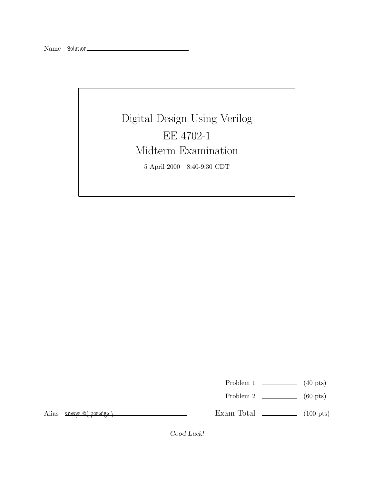Digital Design Using Verilog EE 4702-1 Midterm Examination 5 April 2000 8:40-9:30 CDT

Problem 1  $\qquad \qquad$  (40 pts)

Problem 2  $\qquad \qquad$  (60 pts)

Alias *always @( posedge )*

Exam Total  $\qquad \qquad$  (100 pts)

*Good Luck!*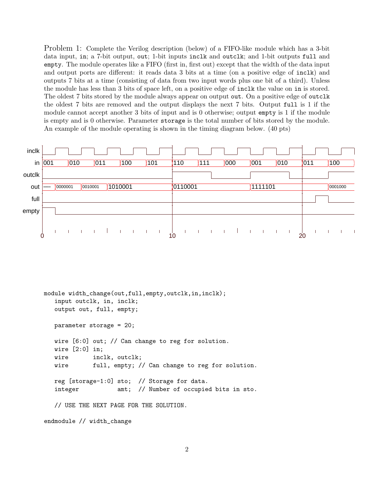Problem 1: Complete the Verilog description (below) of a FIFO-like module which has a 3-bit data input, in; a 7-bit output, out; 1-bit inputs inclk and outclk; and 1-bit outputs full and empty. The module operates like a FIFO (first in, first out) except that the width of the data input and output ports are different: it reads data 3 bits at a time (on a positive edge of inclk) and outputs 7 bits at a time (consisting of data from two input words plus one bit of a third). Unless the module has less than 3 bits of space left, on a positive edge of inclk the value on in is stored. The oldest 7 bits stored by the module always appear on output out. On a positive edge of outclk the oldest 7 bits are removed and the output displays the next 7 bits. Output full is 1 if the module cannot accept another 3 bits of input and is 0 otherwise; output empty is 1 if the module is empty and is 0 otherwise. Parameter storage is the total number of bits stored by the module. An example of the module operating is shown in the timing diagram below. (40 pts)



```
module width_change(out,full,empty,outclk,in,inclk);
   input outclk, in, inclk;
  output out, full, empty;
  parameter storage = 20;
  wire [6:0] out; // Can change to reg for solution.
  wire [2:0] in;
  wire inclk, outclk;
  wire full, empty; // Can change to reg for solution.
  reg [storage-1:0] sto; // Storage for data.
   integer amt; // Number of occupied bits in sto.
  // USE THE NEXT PAGE FOR THE SOLUTION.
endmodule // width_change
```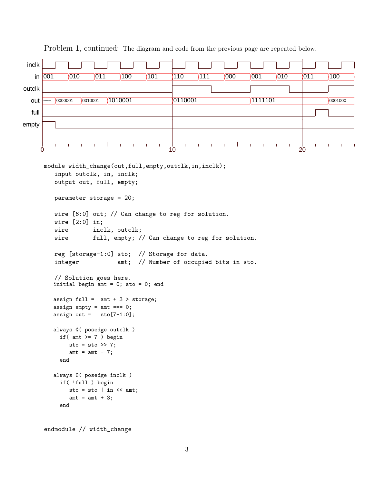```
inclk
    in 001   010   011   100  101   110   111    000   001    010   1001     1
outclk
  out 0000000 0000001 0010001 1010001 0110001 1111101 0001000
  full
empty
              \overline{\phantom{a}}\mathbf{I}\overline{\phantom{a}}0 \, 0 \, 10 \, 20 \, 20 \, 20 \, 20 \, 20 \, 20 \, 20 \, 20 \, 20 \, 20 \, 20 \, 20 \, 20 \, 20 \, 20 \, 20 \, 20 \, 20 \, 20 \, 20 \, 20 \, 20 \, 20 \, 20 \, 20 \,module width_change(out,full,empty,outclk,in,inclk);
          input outclk, in, inclk;
          output out, full, empty;
          parameter storage = 20;
          wire [6:0] out; // Can change to reg for solution.
          wire [2:0] in;
          wire inclk, outclk;
          wire full, empty; // Can change to reg for solution.
          reg [storage-1:0] sto; // Storage for data.
          integer amt; // Number of occupied bits in sto.
          // Solution goes here.
          initial begin \overline{a}mt = 0; sto = 0; end
          assign full = amt + 3 > storage;
          assign empty = amt === 0;
         assign out = sto[7-1:0];
          always @( posedge outclk )
            if(amt \geq 7) begin
               sto = sto >> 7;
               amt = amt - 7;
            end
         always @( posedge inclk )
            if( !full ) begin
               sto = sto | in \lt\lt amt;
               amt = amt + 3;end
```
Problem 1, continued: The diagram and code from the previous page are repeated below.

endmodule // width\_change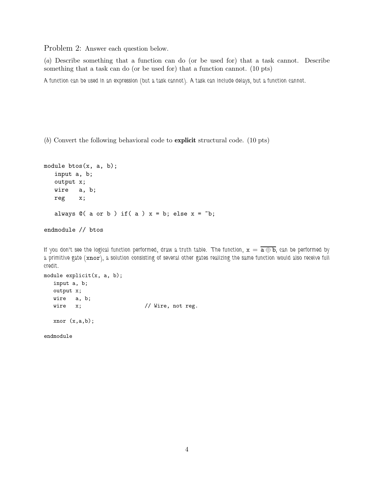Problem 2: Answer each question below.

(a) Describe something that a function can do (or be used for) that a task cannot. Describe something that a task can do (or be used for) that a function cannot. (10 pts)

*A function can be used in an expression (but a task cannot). A task can include delays, but a function cannot.*

(b) Convert the following behavioral code to **explicit** structural code. (10 pts)

```
module btos(x, a, b);
  input a, b;
  output x;
  wire a, b;
  reg x;
  always @( a or b ) if( a ) x = b; else x = b;endmodule // btos
```
*If you don't see the logical function performed, draw a truth table. The function,*  $x = \overline{a \oplus b}$ *, can be performed by a primitive gate (*xnor*), a solution consisting of several other gates realizing the same function would also receive full credit.*

```
module explicit(x, a, b);
  input a, b;
  output x;
  wire a, b;
  wire x; \frac{1}{2} // Wire, not reg.
  xnor (x,a,b);
```
endmodule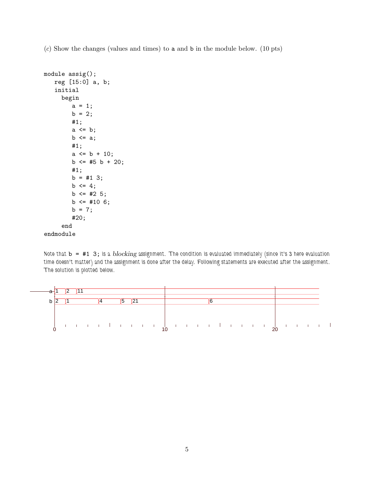(c) Show the changes (values and times) to a and b in the module below. (10 pts)

```
module assig();
   reg [15:0] a, b;
   initial
     begin
         a = 1;b = 2;#1;
         a \leq b;
         b \leq a;
        #1;
         a \leq b + 10;
         b \leq #5 \, b + 20;#1;
        b = #13;b \leq 4;b \leq 425;
        b \leq 4106;b = 7;#20;
     end
endmodule
```
*Note that* b = #1 3; *is a blocking assignment. The condition is evaluated immediately (since it's 3 here evaluation time doesn't matter) and the assignment is done after the delay. Following statements are executed after the assignment. The solution is plotted below.*

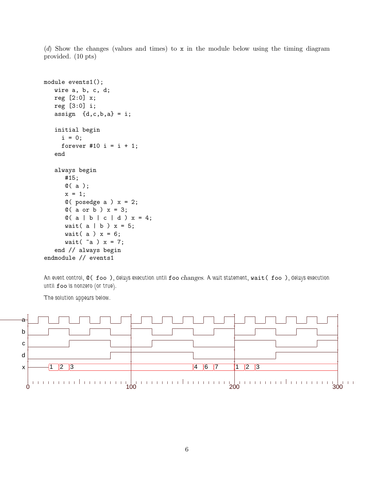(d) Show the changes (values and times) to x in the module below using the timing diagram provided. (10 pts)

```
module events1();
   wire a, b, c, d;
   reg [2:0] x;
   reg [3:0] i;
   assign \{d,c,b,a\} = i;
   initial begin
     i = 0;forever #10 i = i + 1;
   end
   always begin
      #15;
      @( a );
      x = 1;@( posedge a ) x = 2;
      @( a or b ) x = 3;Q(a | b | c | d) x = 4;wait( a \mid b) x = 5;
      wait(a) x = 6;
      wait(\inftya) x = 7;
   end // always begin
endmodule // events1
```
*An event control,* @( foo )*, delays execution until* foo *changes. A wait statement,* wait( foo )*, delays execution until* foo *is nonzero (or true).*

*The solution appears below.*

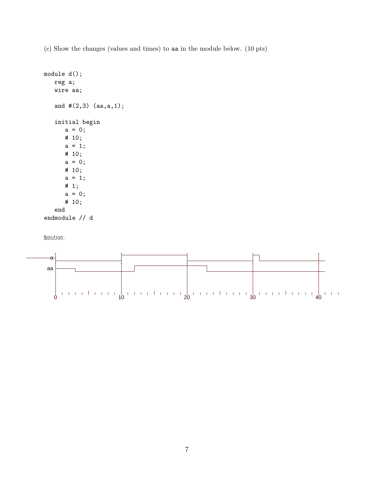(e) Show the changes (values and times) to aa in the module below. (10 pts)

```
module d();
  reg a;
  wire aa;
   and #(2,3) (aa,a,1);
   initial begin
      a = 0;# 10;
      a = 1;# 10;
      a = 0;# 10;
      a = 1;# 1;
      a = 0;# 10;
   end
endmodule // d
```

```
Solution:
```